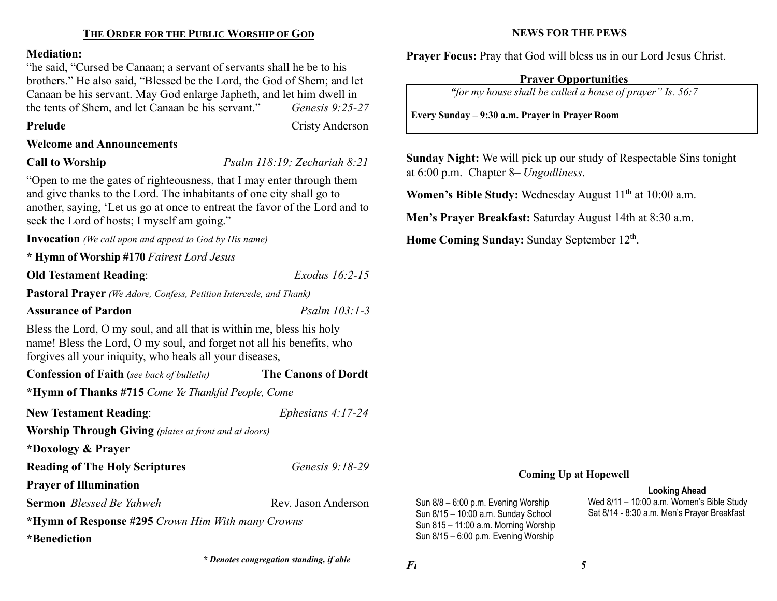# THE ORDER FOR THE PUBLIC WORSHIP OF GOD

#### Mediation:

"he said, "Cursed be Canaan; a servant of servants shall he be to his brothers." He also said, "Blessed be the Lord, the God of Shem; and let Canaan be his servant. May God enlarge Japheth, and let him dwell in the tents of Shem, and let Canaan be his servant." Genesis 9:25-27

Prelude Cristy Anderson

## Welcome and Announcements

Call to Worship *Psalm 118:19; Zechariah 8:21* 

"Open to me the gates of righteousness, that I may enter through them and give thanks to the Lord. The inhabitants of one city shall go to another, saying, 'Let us go at once to entreat the favor of the Lord and to seek the Lord of hosts; I myself am going."

Invocation (We call upon and appeal to God by His name)

\* Hymn of Worship #170 Fairest Lord Jesus

Old Testament Reading: Exodus 16:2-15

Pastoral Prayer (We Adore, Confess, Petition Intercede, and Thank)

# Assurance of Pardon Psalm 103:1-3

Bless the Lord, O my soul, and all that is within me, bless his holy name! Bless the Lord, O my soul, and forget not all his benefits, who forgives all your iniquity, who heals all your diseases,

Confession of Faith (see back of bulletin) The Canons of Dordt \*Hymn of Thanks #715 Come Ye Thankful People, Come

| <b>New Testament Reading:</b>                                | Ephesians $4:17-24$ |
|--------------------------------------------------------------|---------------------|
| <b>Worship Through Giving</b> (plates at front and at doors) |                     |
| *Doxology & Prayer                                           |                     |
| <b>Reading of The Holy Scriptures</b>                        | Genesis $9:18-29$   |
| <b>Prayer of Illumination</b>                                |                     |
| <b>Sermon</b> Blessed Be Yahweh                              | Rev. Jason Anderson |
| *Hymn of Response #295 Crown Him With many Crowns            |                     |
| *Benediction                                                 |                     |

\* Denotes congregation standing, if able

# NEWS FOR THE PEWS

Prayer Focus: Pray that God will bless us in our Lord Jesus Christ.

# Prayer Opportunities

"for my house shall be called a house of prayer" Is. 56:7

Every Sunday – 9:30 a.m. Prayer in Prayer Room

Sunday Night: We will pick up our study of Respectable Sins tonight at 6:00 p.m. Chapter 8– Ungodliness.

Women's Bible Study: Wednesday August  $11<sup>th</sup>$  at  $10:00$  a.m.

Men's Prayer Breakfast: Saturday August 14th at 8:30 a.m.

Home Coming Sunday: Sunday September 12<sup>th</sup>.

### Coming Up at Hopewell

#### Looking Ahead

Wed 8/11 – 10:00 a.m. Women's Bible Study Sat 8/14 - 8:30 a.m. Men's Prayer Breakfast

 $\mathbf{F}_1$  5

Sun 8/8 – 6:00 p.m. Evening Worship Sun 8/15 – 10:00 a.m. Sunday School Sun 815 – 11:00 a.m. Morning Worship Sun 8/15 – 6:00 p.m. Evening Worship